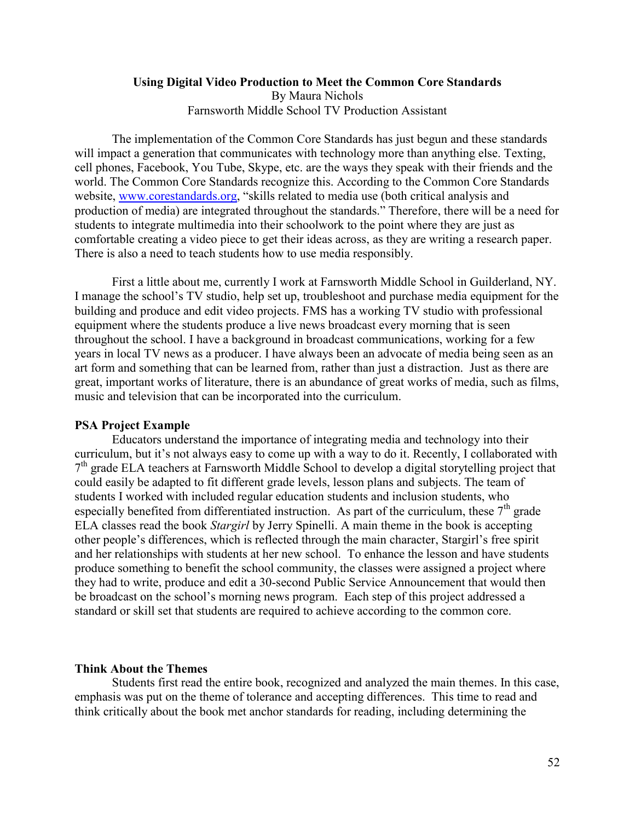# **Using Digital Video Production to Meet the Common Core Standards**  By Maura Nichols Farnsworth Middle School TV Production Assistant

The implementation of the Common Core Standards has just begun and these standards will impact a generation that communicates with technology more than anything else. Texting, cell phones, Facebook, You Tube, Skype, etc. are the ways they speak with their friends and the world. The Common Core Standards recognize this. According to the Common Core Standards website, [www.corestandards.org,](http://www.corestandards.org/) "skills related to media use (both critical analysis and production of media) are integrated throughout the standards." Therefore, there will be a need for students to integrate multimedia into their schoolwork to the point where they are just as comfortable creating a video piece to get their ideas across, as they are writing a research paper. There is also a need to teach students how to use media responsibly.

First a little about me, currently I work at Farnsworth Middle School in Guilderland, NY. I manage the school's TV studio, help set up, troubleshoot and purchase media equipment for the building and produce and edit video projects. FMS has a working TV studio with professional equipment where the students produce a live news broadcast every morning that is seen throughout the school. I have a background in broadcast communications, working for a few years in local TV news as a producer. I have always been an advocate of media being seen as an art form and something that can be learned from, rather than just a distraction. Just as there are great, important works of literature, there is an abundance of great works of media, such as films, music and television that can be incorporated into the curriculum.

#### **PSA Project Example**

 Educators understand the importance of integrating media and technology into their curriculum, but it's not always easy to come up with a way to do it. Recently, I collaborated with 7<sup>th</sup> grade ELA teachers at Farnsworth Middle School to develop a digital storytelling project that could easily be adapted to fit different grade levels, lesson plans and subjects. The team of students I worked with included regular education students and inclusion students, who especially benefited from differentiated instruction. As part of the curriculum, these  $7<sup>th</sup>$  grade ELA classes read the book *Stargirl* by Jerry Spinelli. A main theme in the book is accepting other people's differences, which is reflected through the main character, Stargirl's free spirit and her relationships with students at her new school. To enhance the lesson and have students produce something to benefit the school community, the classes were assigned a project where they had to write, produce and edit a 30-second Public Service Announcement that would then be broadcast on the school's morning news program. Each step of this project addressed a standard or skill set that students are required to achieve according to the common core.

### **Think About the Themes**

Students first read the entire book, recognized and analyzed the main themes. In this case, emphasis was put on the theme of tolerance and accepting differences. This time to read and think critically about the book met anchor standards for reading, including determining the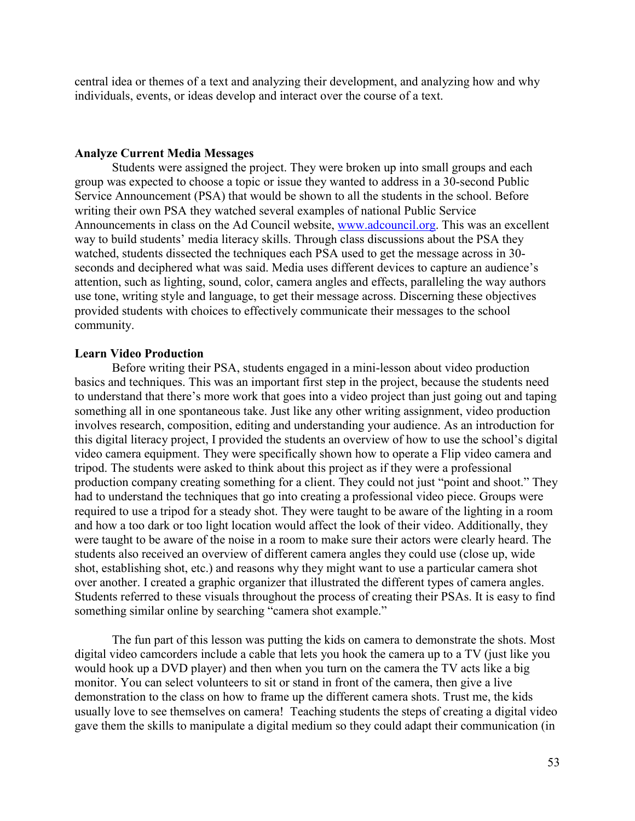central idea or themes of a text and analyzing their development, and analyzing how and why individuals, events, or ideas develop and interact over the course of a text.

# **Analyze Current Media Messages**

 Students were assigned the project. They were broken up into small groups and each group was expected to choose a topic or issue they wanted to address in a 30-second Public Service Announcement (PSA) that would be shown to all the students in the school. Before writing their own PSA they watched several examples of national Public Service Announcements in class on the Ad Council website, [www.adcouncil.org.](http://www.adcouncil.org/) This was an excellent way to build students' media literacy skills. Through class discussions about the PSA they watched, students dissected the techniques each PSA used to get the message across in 30 seconds and deciphered what was said. Media uses different devices to capture an audience's attention, such as lighting, sound, color, camera angles and effects, paralleling the way authors use tone, writing style and language, to get their message across. Discerning these objectives provided students with choices to effectively communicate their messages to the school community.

#### **Learn Video Production**

Before writing their PSA, students engaged in a mini-lesson about video production basics and techniques. This was an important first step in the project, because the students need to understand that there's more work that goes into a video project than just going out and taping something all in one spontaneous take. Just like any other writing assignment, video production involves research, composition, editing and understanding your audience. As an introduction for this digital literacy project, I provided the students an overview of how to use the school's digital video camera equipment. They were specifically shown how to operate a Flip video camera and tripod. The students were asked to think about this project as if they were a professional production company creating something for a client. They could not just "point and shoot." They had to understand the techniques that go into creating a professional video piece. Groups were required to use a tripod for a steady shot. They were taught to be aware of the lighting in a room and how a too dark or too light location would affect the look of their video. Additionally, they were taught to be aware of the noise in a room to make sure their actors were clearly heard. The students also received an overview of different camera angles they could use (close up, wide shot, establishing shot, etc.) and reasons why they might want to use a particular camera shot over another. I created a graphic organizer that illustrated the different types of camera angles. Students referred to these visuals throughout the process of creating their PSAs. It is easy to find something similar online by searching "camera shot example."

The fun part of this lesson was putting the kids on camera to demonstrate the shots. Most digital video camcorders include a cable that lets you hook the camera up to a TV (just like you would hook up a DVD player) and then when you turn on the camera the TV acts like a big monitor. You can select volunteers to sit or stand in front of the camera, then give a live demonstration to the class on how to frame up the different camera shots. Trust me, the kids usually love to see themselves on camera! Teaching students the steps of creating a digital video gave them the skills to manipulate a digital medium so they could adapt their communication (in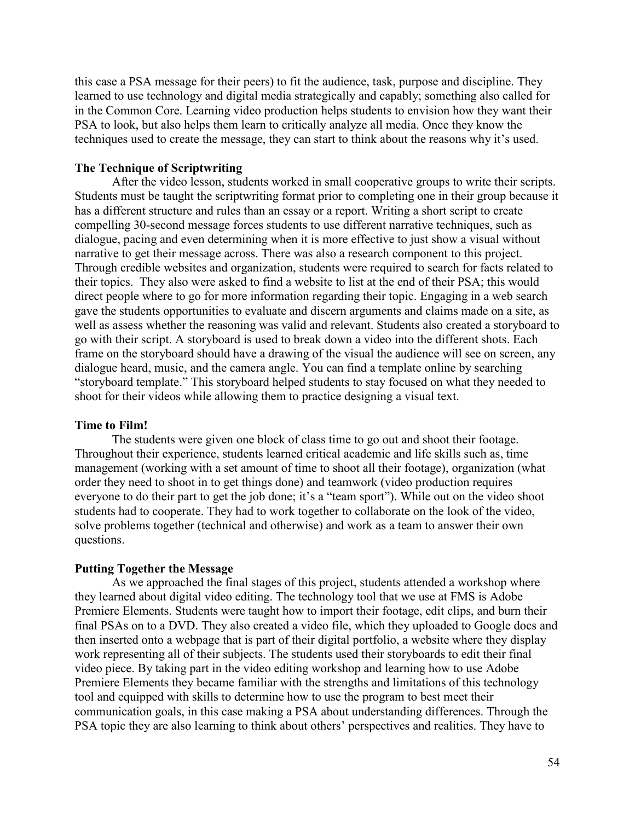this case a PSA message for their peers) to fit the audience, task, purpose and discipline. They learned to use technology and digital media strategically and capably; something also called for in the Common Core. Learning video production helps students to envision how they want their PSA to look, but also helps them learn to critically analyze all media. Once they know the techniques used to create the message, they can start to think about the reasons why it's used.

# **The Technique of Scriptwriting**

 After the video lesson, students worked in small cooperative groups to write their scripts. Students must be taught the scriptwriting format prior to completing one in their group because it has a different structure and rules than an essay or a report. Writing a short script to create compelling 30-second message forces students to use different narrative techniques, such as dialogue, pacing and even determining when it is more effective to just show a visual without narrative to get their message across. There was also a research component to this project. Through credible websites and organization, students were required to search for facts related to their topics. They also were asked to find a website to list at the end of their PSA; this would direct people where to go for more information regarding their topic. Engaging in a web search gave the students opportunities to evaluate and discern arguments and claims made on a site, as well as assess whether the reasoning was valid and relevant. Students also created a storyboard to go with their script. A storyboard is used to break down a video into the different shots. Each frame on the storyboard should have a drawing of the visual the audience will see on screen, any dialogue heard, music, and the camera angle. You can find a template online by searching "storyboard template." This storyboard helped students to stay focused on what they needed to shoot for their videos while allowing them to practice designing a visual text.

## **Time to Film!**

 The students were given one block of class time to go out and shoot their footage. Throughout their experience, students learned critical academic and life skills such as, time management (working with a set amount of time to shoot all their footage), organization (what order they need to shoot in to get things done) and teamwork (video production requires everyone to do their part to get the job done; it's a "team sport"). While out on the video shoot students had to cooperate. They had to work together to collaborate on the look of the video, solve problems together (technical and otherwise) and work as a team to answer their own questions.

## **Putting Together the Message**

As we approached the final stages of this project, students attended a workshop where they learned about digital video editing. The technology tool that we use at FMS is Adobe Premiere Elements. Students were taught how to import their footage, edit clips, and burn their final PSAs on to a DVD. They also created a video file, which they uploaded to Google docs and then inserted onto a webpage that is part of their digital portfolio, a website where they display work representing all of their subjects. The students used their storyboards to edit their final video piece. By taking part in the video editing workshop and learning how to use Adobe Premiere Elements they became familiar with the strengths and limitations of this technology tool and equipped with skills to determine how to use the program to best meet their communication goals, in this case making a PSA about understanding differences. Through the PSA topic they are also learning to think about others' perspectives and realities. They have to